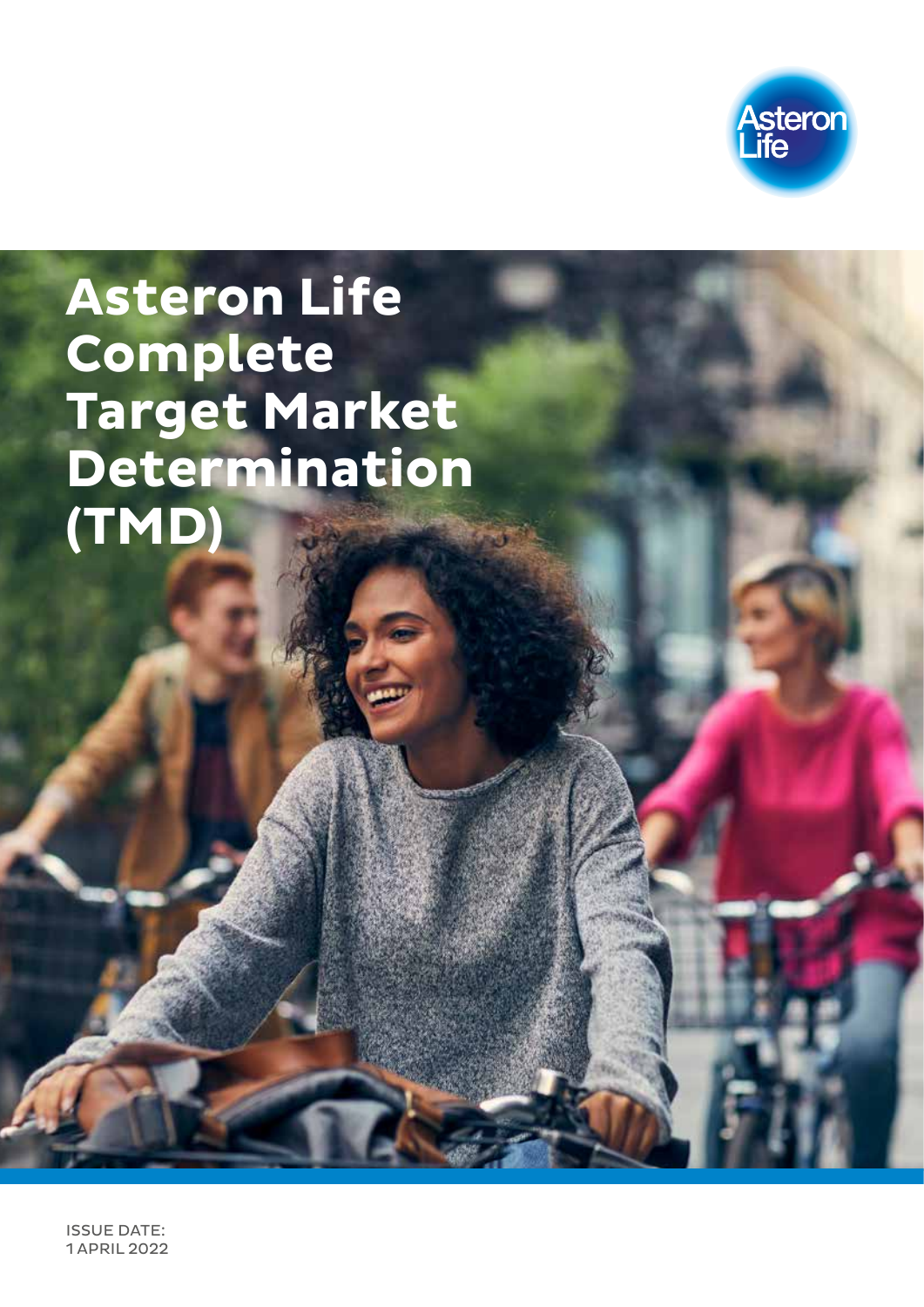

# **Asteron Life Complete Target Market Determination (TMD)**

ISSUE DATE: 1 APRIL 2022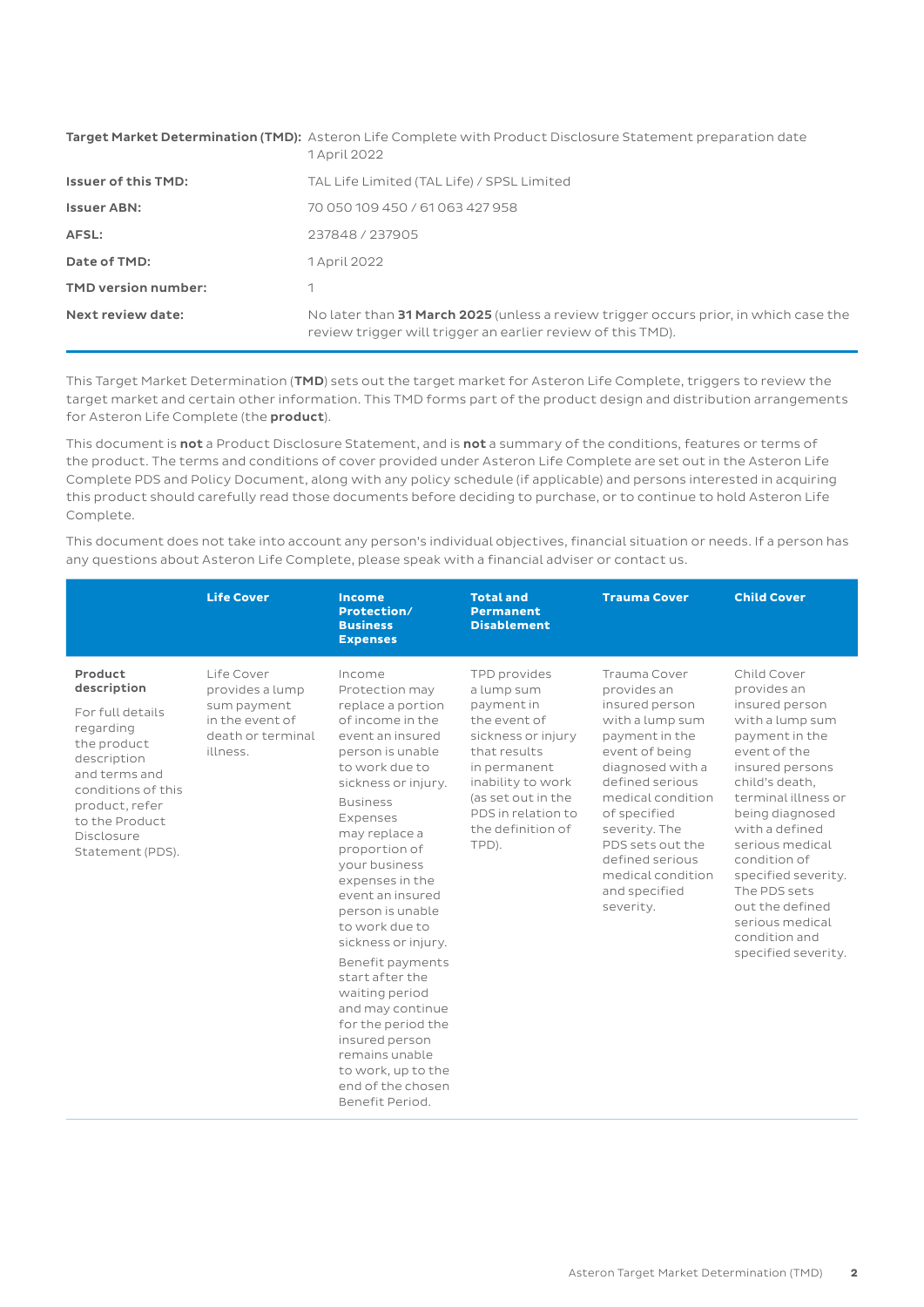|                            | Target Market Determination (TMD): Asteron Life Complete with Product Disclosure Statement preparation date<br>1 April 2022                         |
|----------------------------|-----------------------------------------------------------------------------------------------------------------------------------------------------|
| <b>Issuer of this TMD:</b> | TAL Life Limited (TAL Life) / SPSL Limited                                                                                                          |
| <b>Issuer ABN:</b>         | 70 050 109 450 / 61 063 427 958                                                                                                                     |
| AFSL:                      | 237848 / 237905                                                                                                                                     |
| Date of TMD:               | 1 April 2022                                                                                                                                        |
| <b>TMD version number:</b> |                                                                                                                                                     |
| Next review date:          | No later than 31 March 2025 (unless a review trigger occurs prior, in which case the<br>review trigger will trigger an earlier review of this TMD). |

This Target Market Determination (TMD) sets out the target market for Asteron Life Complete, triggers to review the target market and certain other information. This TMD forms part of the product design and distribution arrangements for Asteron Life Complete (the product).

This document is not a Product Disclosure Statement, and is not a summary of the conditions, features or terms of the product. The terms and conditions of cover provided under Asteron Life Complete are set out in the Asteron Life Complete PDS and Policy Document, along with any policy schedule (if applicable) and persons interested in acquiring this product should carefully read those documents before deciding to purchase, or to continue to hold Asteron Life Complete.

This document does not take into account any person's individual objectives, financial situation or needs. If a person has any questions about Asteron Life Complete, please speak with a financial adviser or contact us.

|                                                                                                                                                                                                    | <b>Life Cover</b>                                                                                | <b>Income</b><br>Protection/<br><b>Business</b><br><b>Expenses</b>                                                                                                                                                                                                                                                                                                                                                                                                                                                                            | <b>Total and</b><br><b>Permanent</b><br><b>Disablement</b>                                                                                                                                                    | <b>Trauma Cover</b>                                                                                                                                                                                                                                                                         | <b>Child Cover</b>                                                                                                                                                                                                                                                                                                                                         |
|----------------------------------------------------------------------------------------------------------------------------------------------------------------------------------------------------|--------------------------------------------------------------------------------------------------|-----------------------------------------------------------------------------------------------------------------------------------------------------------------------------------------------------------------------------------------------------------------------------------------------------------------------------------------------------------------------------------------------------------------------------------------------------------------------------------------------------------------------------------------------|---------------------------------------------------------------------------------------------------------------------------------------------------------------------------------------------------------------|---------------------------------------------------------------------------------------------------------------------------------------------------------------------------------------------------------------------------------------------------------------------------------------------|------------------------------------------------------------------------------------------------------------------------------------------------------------------------------------------------------------------------------------------------------------------------------------------------------------------------------------------------------------|
| Product<br>description<br>For full details<br>regarding<br>the product<br>description<br>and terms and<br>conditions of this<br>product, refer<br>to the Product<br>Disclosure<br>Statement (PDS). | Life Cover<br>provides a lump<br>sum payment<br>in the event of<br>death or terminal<br>illness. | Income<br>Protection may<br>replace a portion<br>of income in the<br>event an insured<br>person is unable<br>to work due to<br>sickness or injury.<br><b>Business</b><br>Expenses<br>may replace a<br>proportion of<br>your business<br>expenses in the<br>event an insured<br>person is unable<br>to work due to<br>sickness or injury.<br>Benefit payments<br>start after the<br>waiting period<br>and may continue<br>for the period the<br>insured person<br>remains unable<br>to work, up to the<br>end of the chosen<br>Benefit Period. | TPD provides<br>a lump sum<br>payment in<br>the event of<br>sickness or injury<br>that results<br>in permanent<br>inability to work<br>(as set out in the<br>PDS in relation to<br>the definition of<br>TPD). | Trauma Cover<br>provides an<br>insured person<br>with a lump sum<br>payment in the<br>event of being<br>diagnosed with a<br>defined serious<br>medical condition<br>of specified<br>severity. The<br>PDS sets out the<br>defined serious<br>medical condition<br>and specified<br>severity. | Child Cover<br>provides an<br>insured person<br>with a lump sum<br>payment in the<br>event of the<br>insured persons<br>child's death,<br>terminal illness or<br>being diagnosed<br>with a defined<br>serious medical<br>condition of<br>specified severity.<br>The PDS sets<br>out the defined<br>serious medical<br>condition and<br>specified severity. |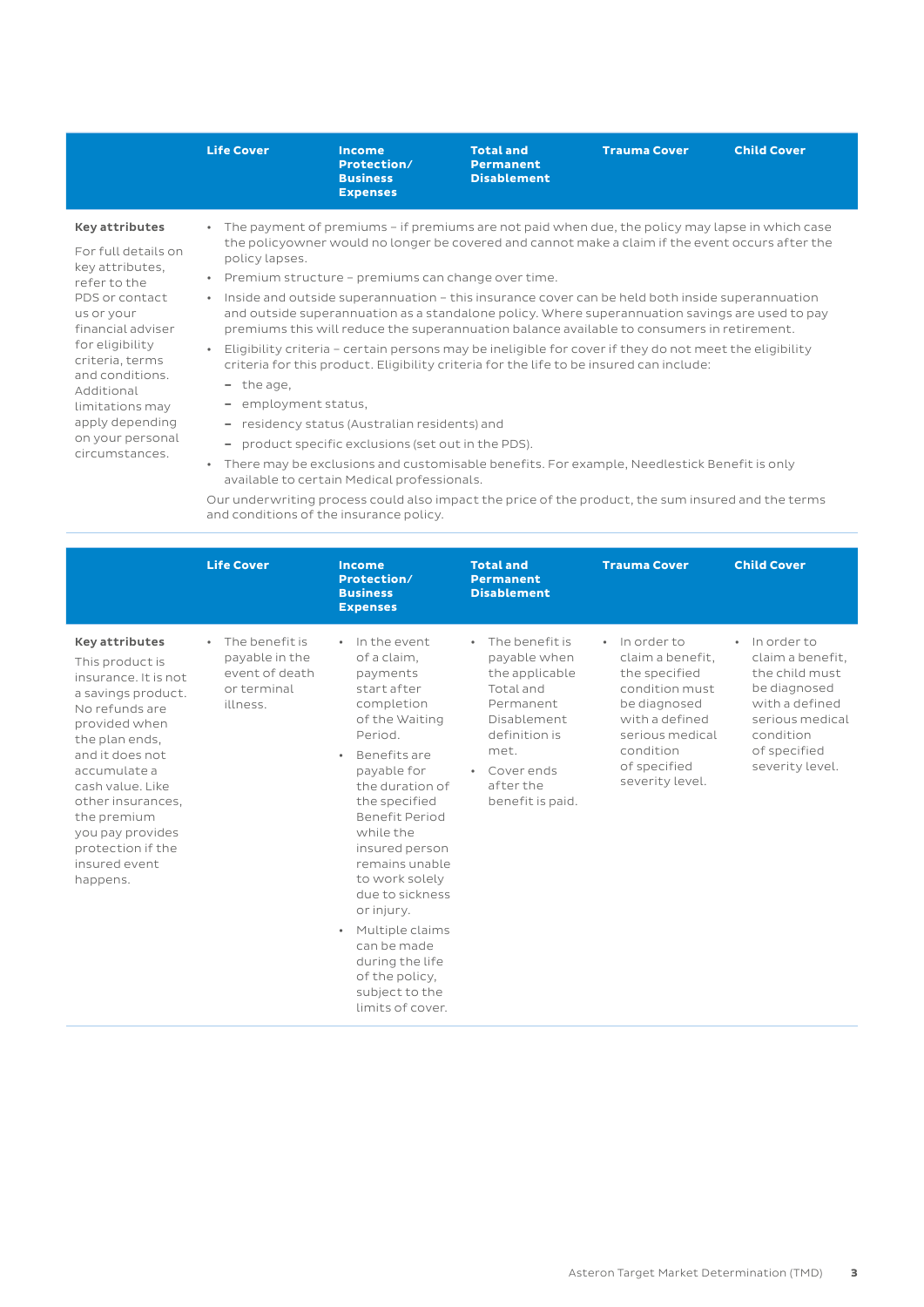|                                                                                                                                                                                                                                                                                         | <b>Life Cover</b>                                                                                | <b>Income</b><br>Protection/<br><b>Business</b><br><b>Expenses</b>                                                                                       | <b>Total and</b><br><b>Permanent</b><br><b>Disablement</b> | <b>Trauma Cover</b>                                                                                                                                                                                                                                                                                                                                                                                                                                                                                                                                                                                                                                                                                          | <b>Child Cover</b> |
|-----------------------------------------------------------------------------------------------------------------------------------------------------------------------------------------------------------------------------------------------------------------------------------------|--------------------------------------------------------------------------------------------------|----------------------------------------------------------------------------------------------------------------------------------------------------------|------------------------------------------------------------|--------------------------------------------------------------------------------------------------------------------------------------------------------------------------------------------------------------------------------------------------------------------------------------------------------------------------------------------------------------------------------------------------------------------------------------------------------------------------------------------------------------------------------------------------------------------------------------------------------------------------------------------------------------------------------------------------------------|--------------------|
| <b>Key attributes</b><br>For full details on<br>key attributes,<br>refer to the<br>PDS or contact<br>us or your<br>financial adviser<br>for eligibility<br>criteria, terms<br>and conditions.<br>Additional<br>limitations may<br>apply depending<br>on your personal<br>circumstances. | $\bullet$<br>policy lapses.<br>$\bullet$<br>$\bullet$<br>- the age,<br>- employment status,      | Premium structure - premiums can change over time.<br>- residency status (Australian residents) and<br>product specific exclusions (set out in the PDS). |                                                            | The payment of premiums – if premiums are not paid when due, the policy may lapse in which case<br>the policyowner would no longer be covered and cannot make a claim if the event occurs after the<br>Inside and outside superannuation – this insurance cover can be held both inside superannuation<br>and outside superannuation as a standalone policy. Where superannuation savings are used to pay<br>premiums this will reduce the superannuation balance available to consumers in retirement.<br>Eligibility criteria - certain persons may be ineligible for cover if they do not meet the eligibility<br>criteria for this product. Eligibility criteria for the life to be insured can include: |                    |
|                                                                                                                                                                                                                                                                                         | There may be exclusions and customisable benefits. For example, Needlestick Benefit is only<br>٠ |                                                                                                                                                          |                                                            |                                                                                                                                                                                                                                                                                                                                                                                                                                                                                                                                                                                                                                                                                                              |                    |

available to certain Medical professionals. Our underwriting process could also impact the price of the product, the sum insured and the terms and conditions of the insurance policy.

|                                                                                                                                                                                                                                                                                                              | <b>Life Cover</b>                                                                          | Income<br>Protection/<br><b>Business</b><br><b>Expenses</b>                                                                                                                                                                                                                                                                                                                                                            | <b>Total and</b><br><b>Permanent</b><br><b>Disablement</b>                                                                                                                                  | <b>Trauma Cover</b>                                                                                                                                                       | <b>Child Cover</b>                                                                                                                                                  |
|--------------------------------------------------------------------------------------------------------------------------------------------------------------------------------------------------------------------------------------------------------------------------------------------------------------|--------------------------------------------------------------------------------------------|------------------------------------------------------------------------------------------------------------------------------------------------------------------------------------------------------------------------------------------------------------------------------------------------------------------------------------------------------------------------------------------------------------------------|---------------------------------------------------------------------------------------------------------------------------------------------------------------------------------------------|---------------------------------------------------------------------------------------------------------------------------------------------------------------------------|---------------------------------------------------------------------------------------------------------------------------------------------------------------------|
| <b>Key attributes</b><br>This product is<br>insurance. It is not<br>a savings product.<br>No refunds are<br>provided when<br>the plan ends.<br>and it does not<br>accumulate a<br>cash value. Like<br>other insurances,<br>the premium<br>you pay provides<br>protection if the<br>insured event<br>happens. | The benefit is<br>$\bullet$<br>payable in the<br>event of death<br>or terminal<br>illness. | · In the event<br>of a claim,<br>payments<br>start after<br>completion<br>of the Waiting<br>Period.<br>Benefits are<br>payable for<br>the duration of<br>the specified<br>Benefit Period<br>while the<br>insured person<br>remains unable<br>to work solely<br>due to sickness<br>or injury.<br>Multiple claims<br>$\bullet$<br>can be made<br>during the life<br>of the policy,<br>subject to the<br>limits of cover. | The benefit is<br>$\bullet$<br>payable when<br>the applicable<br>Total and<br>Permanent<br>Disablement<br>definition is<br>met.<br>Cover ends<br>$\bullet$<br>after the<br>benefit is paid. | · In order to<br>claim a benefit.<br>the specified<br>condition must<br>be diagnosed<br>with a defined<br>serious medical<br>condition<br>of specified<br>severity level. | In order to<br>$\bullet$<br>claim a benefit.<br>the child must<br>be diagnosed<br>with a defined<br>serious medical<br>condition<br>of specified<br>severity level. |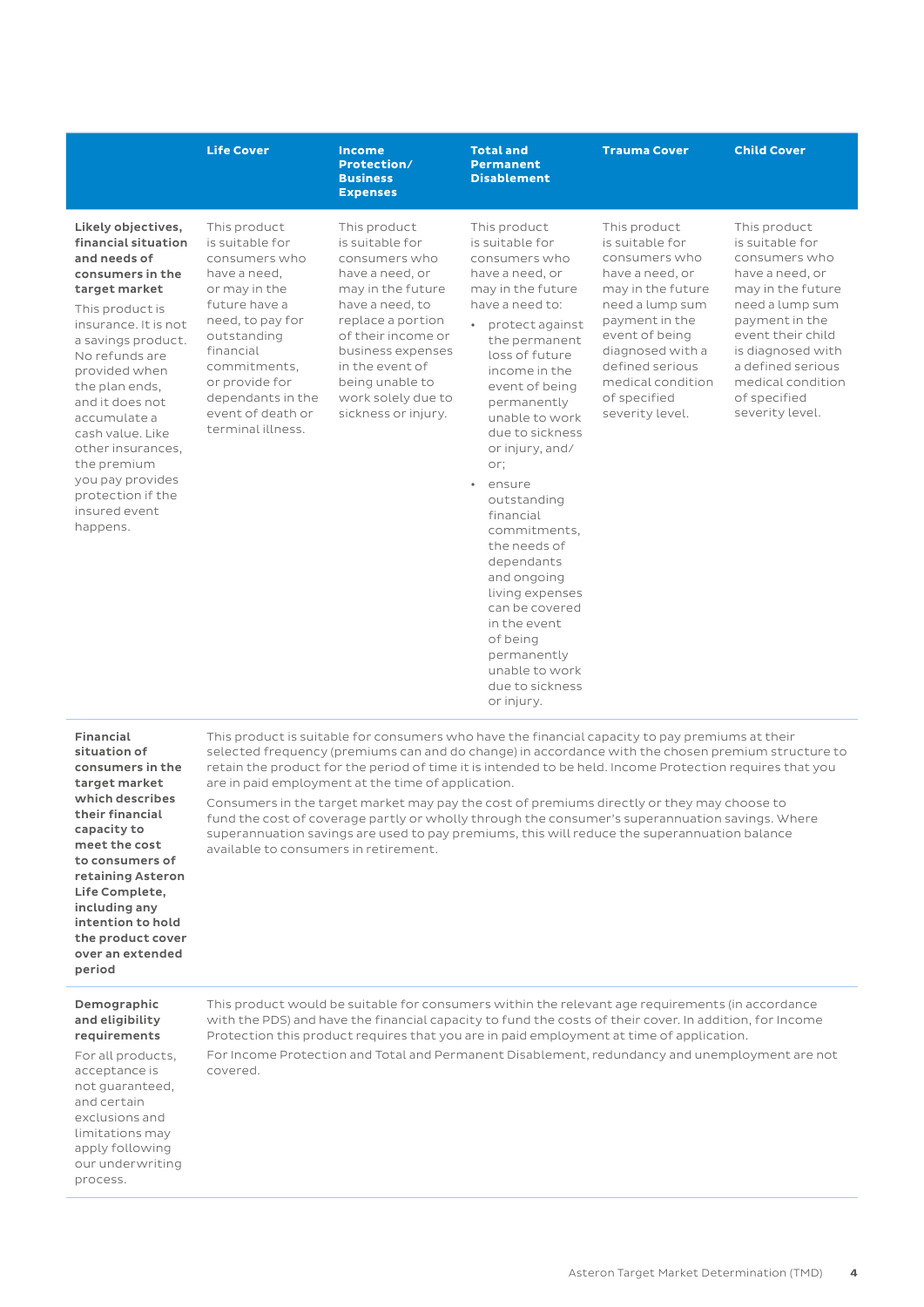#### **Life Cover Income Protection/ Business Expenses Total and Permanent Disablement Trauma Cover Child Cover** Likely objectives, financial situation and needs of consumers in the target market This product is insurance. It is not a savings product. No refunds are provided when the plan ends, and it does not accumulate a cash value. Like other insurances, the premium you pay provides protection if the insured event happens. This product is suitable for consumers who have a need, or may in the future have a need, to pay for outstanding financial commitments, or provide for dependants in the event of death or terminal illness. This product is suitable for consumers who have a need, or may in the future have a need, to replace a portion of their income or business expenses in the event of being unable to work solely due to sickness or injury. This product is suitable for consumers who have a need, or may in the future have a need to: • protect against the permanent loss of future income in the event of being permanently unable to work due to sickness or injury, and/ or; ensure outstanding financial commitments, the needs of dependants and ongoing living expenses can be covered in the event of being permanently This product is suitable for consumers who have a need, or may in the future need a lump sum payment in the event of being diagnosed with a defined serious medical condition of specified severity level. This product is suitable for consumers who have a need, or may in the future need a lump sum payment in the event their child is diagnosed with a defined serious medical condition of specified severity level.

Financial situation of consumers in the target market which describes their financial capacity to meet the cost to consumers of retaining Asteron Life Complete, including any intention to hold the product cover over an extended period

## Demographic

and eligibility requirements

For all products, acceptance is not guaranteed, and certain exclusions and limitations may apply following our underwriting process.

This product would be suitable for consumers within the relevant age requirements (in accordance with the PDS) and have the financial capacity to fund the costs of their cover. In addition, for Income Protection this product requires that you are in paid employment at time of application.

unable to work due to sickness or injury.

selected frequency (premiums can and do change) in accordance with the chosen premium structure to retain the product for the period of time it is intended to be held. Income Protection requires that you

This product is suitable for consumers who have the financial capacity to pay premiums at their

Consumers in the target market may pay the cost of premiums directly or they may choose to fund the cost of coverage partly or wholly through the consumer's superannuation savings. Where superannuation savings are used to pay premiums, this will reduce the superannuation balance

are in paid employment at the time of application.

available to consumers in retirement.

For Income Protection and Total and Permanent Disablement, redundancy and unemployment are not covered.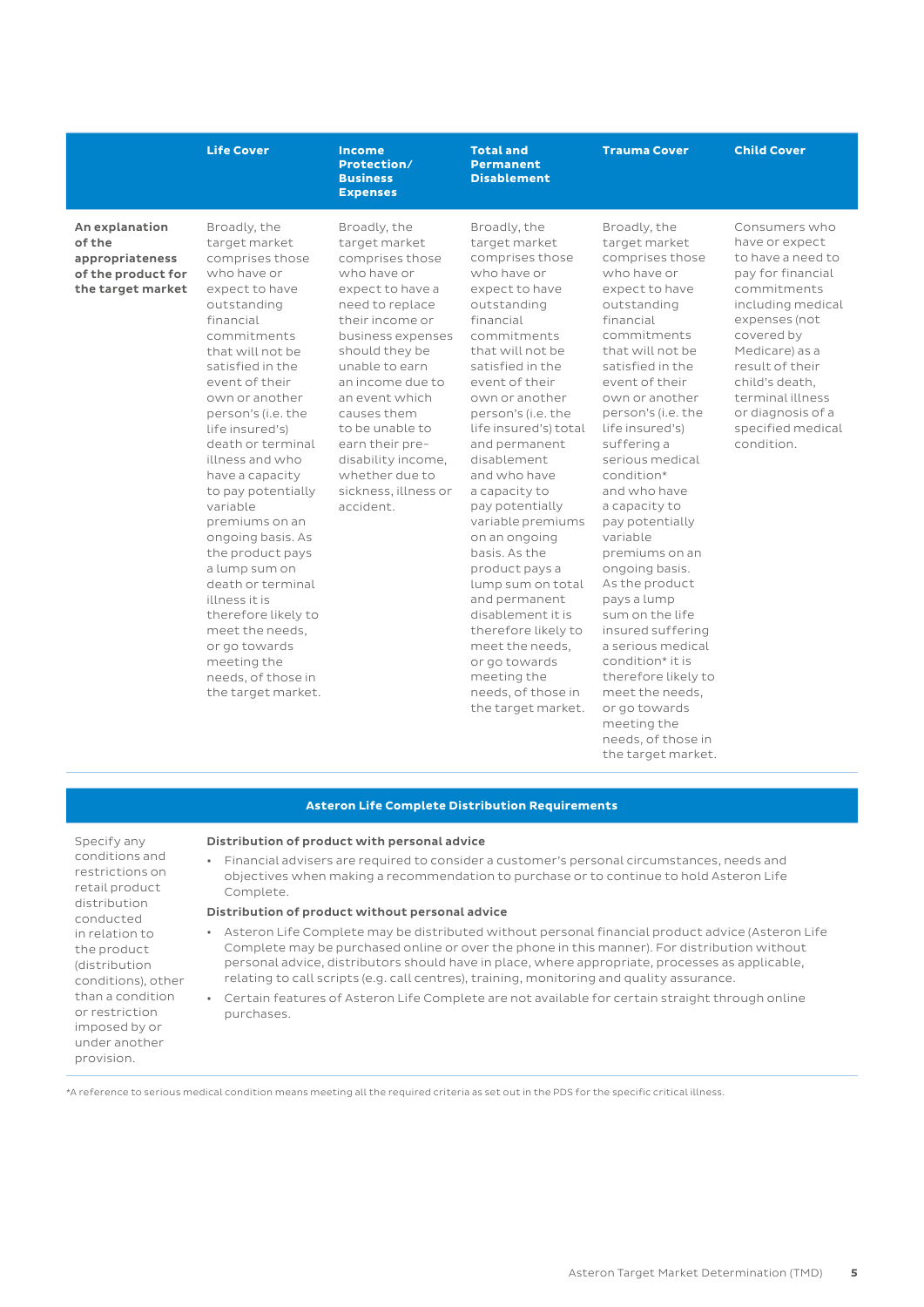### **Life Cover**  Income

An explanation of the appropriateness of the product for the target market Broadly, the target market comprises those who have or expect to have outstanding financial commitments that will not be satisfied in the event of their own or another person's (i.e. the life insured's) death or terminal illness and who have a capacity to pay potentially variable premiums on an ongoing basis. As the product pays a lump sum on death or terminal illness it is therefore likely to meet the needs, or go towards meeting the needs, of those in the target market.

Broadly, the target market comprises those who have or expect to have a need to replace their income or business expenses should they be unable to earn an income due to an event which causes them to be unable to earn their predisability income, whether due to sickness, illness or accident.

**Protection/ Business Expenses**

> Broadly, the target market comprises those who have or expect to have outstanding financial commitments that will not be satisfied in the event of their own or another person's (i.e. the life insured's) total and permanent disablement and who have a capacity to pay potentially variable premiums on an ongoing basis. As the product pays a lump sum on total and permanent disablement it is therefore likely to meet the needs, or go towards meeting the needs, of those in the target market.

**Total and Permanent Disablement** 

> Broadly, the target market comprises those who have or expect to have outstanding financial commitments that will not be satisfied in the event of their own or another person's (i.e. the life insured's) suffering a serious medical condition\* and who have a capacity to pay potentially variable premiums on an ongoing basis. As the product pays a lump sum on the life insured suffering a serious medical condition\* it is therefore likely to meet the needs, or go towards meeting the needs, of those in the target market.

**Trauma Cover Child Cover**

Consumers who have or expect to have a need to pay for financial commitments including medical expenses (not covered by Medicare) as a result of their child's death, terminal illness or diagnosis of a specified medical condition.

#### **Asteron Life Complete Distribution Requirements**

Specify any conditions and restrictions on retail product distribution conducted in relation to the product (distribution conditions), other than a condition or restriction imposed by or under another provision.

### Distribution of product with personal advice

• Financial advisers are required to consider a customer's personal circumstances, needs and objectives when making a recommendation to purchase or to continue to hold Asteron Life Complete.

#### Distribution of product without personal advice

- Asteron Life Complete may be distributed without personal financial product advice (Asteron Life Complete may be purchased online or over the phone in this manner). For distribution without personal advice, distributors should have in place, where appropriate, processes as applicable, relating to call scripts (e.g. call centres), training, monitoring and quality assurance.
- Certain features of Asteron Life Complete are not available for certain straight through online purchases.

\*A reference to serious medical condition means meeting all the required criteria as set out in the PDS for the specific critical illness.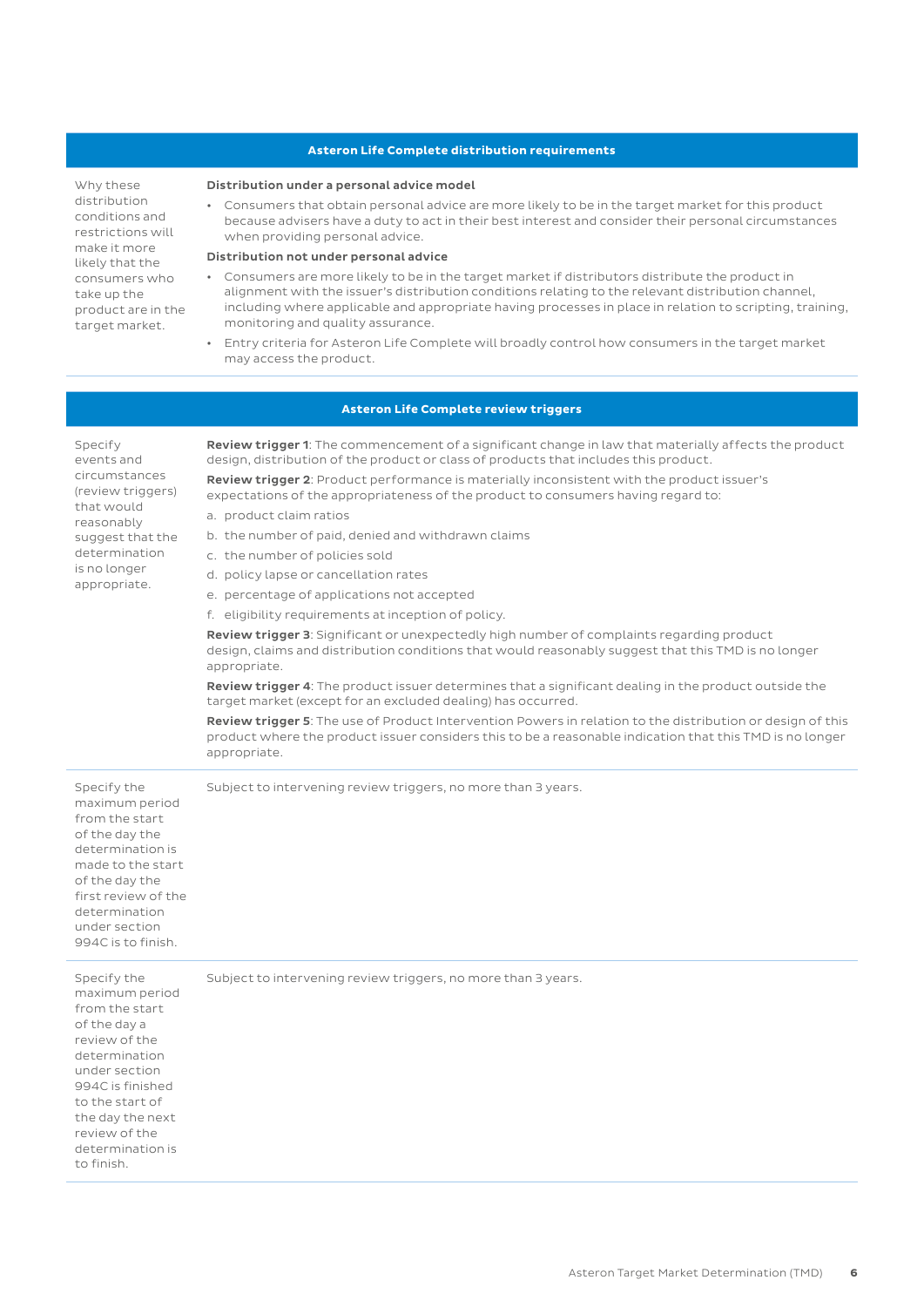### **Asteron Life Complete distribution requirements**

Why these distribution conditions and restrictions will make it more likely that the consumers who take up the product are in the target market.

#### Distribution under a personal advice model

• Consumers that obtain personal advice are more likely to be in the target market for this product because advisers have a duty to act in their best interest and consider their personal circumstances when providing personal advice.

#### Distribution not under personal advice

- Consumers are more likely to be in the target market if distributors distribute the product in alignment with the issuer's distribution conditions relating to the relevant distribution channel, including where applicable and appropriate having processes in place in relation to scripting, training, monitoring and quality assurance.
- Entry criteria for Asteron Life Complete will broadly control how consumers in the target market may access the product.

### **Asteron Life Complete review triggers**

Specify events and circumstances (review triggers) that would reasonably suggest that the determination is no longer appropriate. Review trigger 1: The commencement of a significant change in law that materially affects the product design, distribution of the product or class of products that includes this product. Review trigger 2: Product performance is materially inconsistent with the product issuer's expectations of the appropriateness of the product to consumers having regard to: a. product claim ratios b. the number of paid, denied and withdrawn claims c. the number of policies sold d. policy lapse or cancellation rates e. percentage of applications not accepted f. eligibility requirements at inception of policy. Review trigger 3: Significant or unexpectedly high number of complaints regarding product design, claims and distribution conditions that would reasonably suggest that this TMD is no longer appropriate. Review trigger 4: The product issuer determines that a significant dealing in the product outside the target market (except for an excluded dealing) has occurred. Review trigger 5: The use of Product Intervention Powers in relation to the distribution or design of this product where the product issuer considers this to be a reasonable indication that this TMD is no longer appropriate. Specify the maximum period from the start of the day the determination is made to the start of the day the first review of the determination under section 994C is to finish. Subject to intervening review triggers, no more than 3 years. Specify the maximum period from the start of the day a review of the determination under section 994C is finished to the start of the day the next review of the determination is to finish. Subject to intervening review triggers, no more than 3 years.